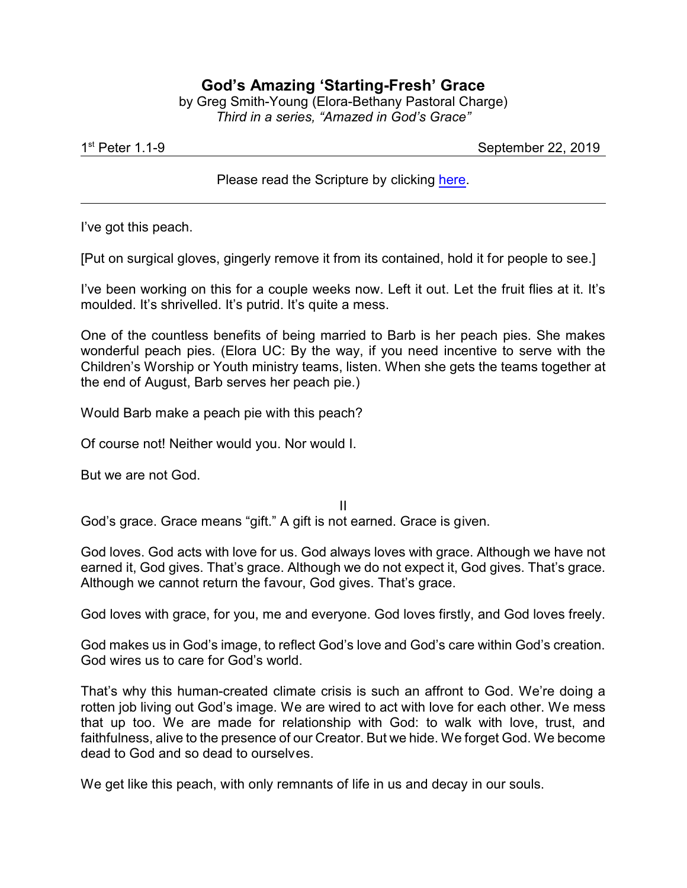## **God's Amazing 'Starting-Fresh' Grace**

by Greg Smith-Young (Elora-Bethany Pastoral Charge) *Third in a series, "Amazed in God's Grace"*

1 st

September 22, 2019

## Please read the Scripture by clicking [here](https://www.biblegateway.com/passage/?search=1+Peter+1.1-9&version=CEB).

I've got this peach.

[Put on surgical gloves, gingerly remove it from its contained, hold it for people to see.]

I've been working on this for a couple weeks now. Left it out. Let the fruit flies at it. It's moulded. It's shrivelled. It's putrid. It's quite a mess.

One of the countless benefits of being married to Barb is her peach pies. She makes wonderful peach pies. (Elora UC: By the way, if you need incentive to serve with the Children's Worship or Youth ministry teams, listen. When she gets the teams together at the end of August, Barb serves her peach pie.)

Would Barb make a peach pie with this peach?

Of course not! Neither would you. Nor would I.

But we are not God.

II God's grace. Grace means "gift." A gift is not earned. Grace is given.

God loves. God acts with love for us. God always loves with grace. Although we have not earned it, God gives. That's grace. Although we do not expect it, God gives. That's grace. Although we cannot return the favour, God gives. That's grace.

God loves with grace, for you, me and everyone. God loves firstly, and God loves freely.

God makes us in God's image, to reflect God's love and God's care within God's creation. God wires us to care for God's world.

That's why this human-created climate crisis is such an affront to God. We're doing a rotten job living out God's image. We are wired to act with love for each other. We mess that up too. We are made for relationship with God: to walk with love, trust, and faithfulness, alive to the presence of our Creator. But we hide. We forget God. We become dead to God and so dead to ourselves.

We get like this peach, with only remnants of life in us and decay in our souls.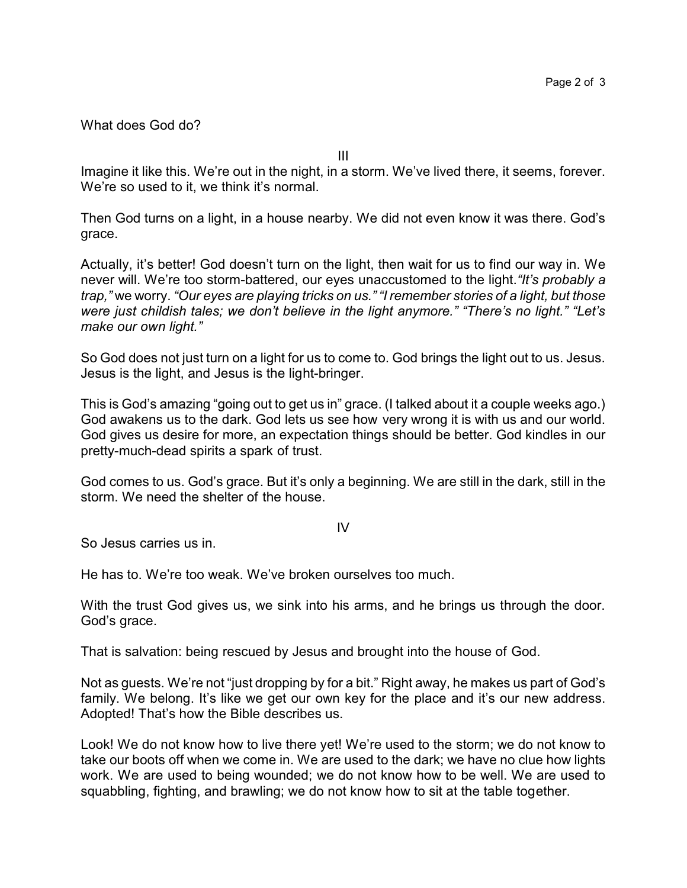What does God do?

III

Imagine it like this. We're out in the night, in a storm. We've lived there, it seems, forever. We're so used to it, we think it's normal.

Then God turns on a light, in a house nearby. We did not even know it was there. God's grace.

Actually, it's better! God doesn't turn on the light, then wait for us to find our way in. We never will. We're too storm-battered, our eyes unaccustomed to the light.*"It's probably a trap,"* we worry. *"Our eyes are playing tricks on us." "I remember stories of a light, but those were just childish tales; we don't believe in the light anymore." "There's no light." "Let's make our own light."*

So God does not just turn on a light for us to come to. God brings the light out to us. Jesus. Jesus is the light, and Jesus is the light-bringer.

This is God's amazing "going out to get us in" grace. (I talked about it a couple weeks ago.) God awakens us to the dark. God lets us see how very wrong it is with us and our world. God gives us desire for more, an expectation things should be better. God kindles in our pretty-much-dead spirits a spark of trust.

God comes to us. God's grace. But it's only a beginning. We are still in the dark, still in the storm. We need the shelter of the house.

IV

So Jesus carries us in.

He has to. We're too weak. We've broken ourselves too much.

With the trust God gives us, we sink into his arms, and he brings us through the door. God's grace.

That is salvation: being rescued by Jesus and brought into the house of God.

Not as guests. We're not "just dropping by for a bit." Right away, he makes us part of God's family. We belong. It's like we get our own key for the place and it's our new address. Adopted! That's how the Bible describes us.

Look! We do not know how to live there yet! We're used to the storm; we do not know to take our boots off when we come in. We are used to the dark; we have no clue how lights work. We are used to being wounded; we do not know how to be well. We are used to squabbling, fighting, and brawling; we do not know how to sit at the table together.